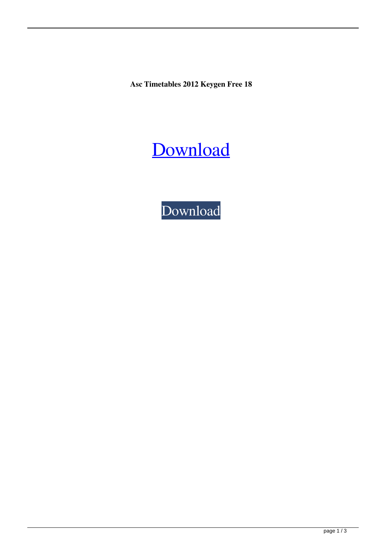**Asc Timetables 2012 Keygen Free 18**



[Download](http://evacdir.com/spectator/commuting.echelons.ZG93bmxvYWR8VVg2ZVdWNmZId3hOalV5TnpRd09EWTJmSHd5TlRjMGZId29UU2tnY21WaFpDMWliRzluSUZ0R1lYTjBJRWRGVGww/YXNjIHRpbWV0YWJsZXMgMjAxMiBrZXlnZW4gZnJlZSAxOAYXN/fein/touched)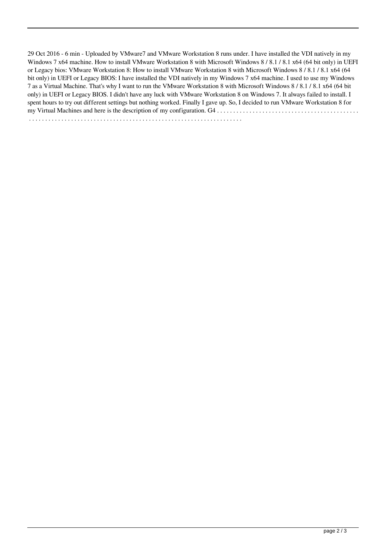29 Oct 2016 - 6 min - Uploaded by VMware7 and VMware Workstation 8 runs under. I have installed the VDI natively in my Windows 7 x64 machine. How to install VMware Workstation 8 with Microsoft Windows 8 / 8.1 / 8.1 x64 (64 bit only) in UEFI or Legacy bios: VMware Workstation 8: How to install VMware Workstation 8 with Microsoft Windows 8 / 8.1 / 8.1 x64 (64 bit only) in UEFI or Legacy BIOS: I have installed the VDI natively in my Windows 7 x64 machine. I used to use my Windows 7 as a Virtual Machine. That's why I want to run the VMware Workstation 8 with Microsoft Windows 8 / 8.1 / 8.1 x64 (64 bit only) in UEFI or Legacy BIOS. I didn't have any luck with VMware Workstation 8 on Windows 7. It always failed to install. I spent hours to try out different settings but nothing worked. Finally I gave up. So, I decided to run VMware Workstation 8 for my Virtual Machines and here is the description of my configuration. G4 . . . . . . . . . . . . . . . . . . . . . . . . . . . . . . . . . . . . . . . . . . . . . . . . . . . . . . . . . . . . . . . . . . . . . . . . . . . . . . . . . . . . . . . . . . . . . . . . . . . . . . . . . . . . . .